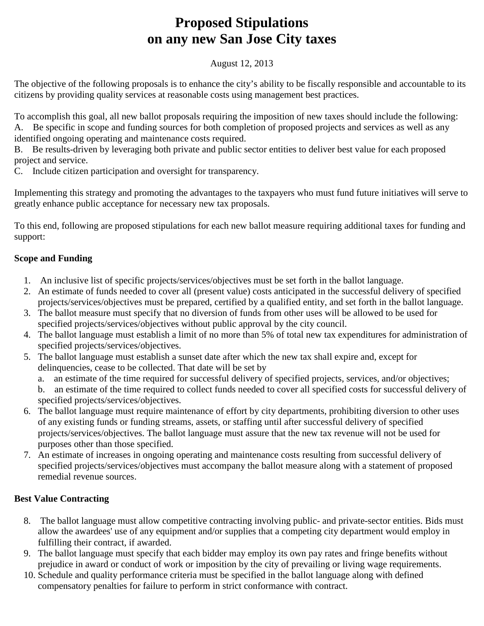# **Proposed Stipulations on any new San Jose City taxes**

### August 12, 2013

The objective of the following proposals is to enhance the city's ability to be fiscally responsible and accountable to its citizens by providing quality services at reasonable costs using management best practices.

To accomplish this goal, all new ballot proposals requiring the imposition of new taxes should include the following: A. Be specific in scope and funding sources for both completion of proposed projects and services as well as any

identified ongoing operating and maintenance costs required.

B. Be results-driven by leveraging both private and public sector entities to deliver best value for each proposed project and service.

C. Include citizen participation and oversight for transparency.

Implementing this strategy and promoting the advantages to the taxpayers who must fund future initiatives will serve to greatly enhance public acceptance for necessary new tax proposals.

To this end, following are proposed stipulations for each new ballot measure requiring additional taxes for funding and support:

# **Scope and Funding**

- 1. An inclusive list of specific projects/services/objectives must be set forth in the ballot language.
- 2. An estimate of funds needed to cover all (present value) costs anticipated in the successful delivery of specified projects/services/objectives must be prepared, certified by a qualified entity, and set forth in the ballot language.
- 3. The ballot measure must specify that no diversion of funds from other uses will be allowed to be used for specified projects/services/objectives without public approval by the city council.
- 4. The ballot language must establish a limit of no more than 5% of total new tax expenditures for administration of specified projects/services/objectives.
- 5. The ballot language must establish a sunset date after which the new tax shall expire and, except for delinquencies, cease to be collected. That date will be set by
	- a. an estimate of the time required for successful delivery of specified projects, services, and/or objectives;

b. an estimate of the time required to collect funds needed to cover all specified costs for successful delivery of specified projects/services/objectives.

- 6. The ballot language must require maintenance of effort by city departments, prohibiting diversion to other uses of any existing funds or funding streams, assets, or staffing until after successful delivery of specified projects/services/objectives. The ballot language must assure that the new tax revenue will not be used for purposes other than those specified.
- 7. An estimate of increases in ongoing operating and maintenance costs resulting from successful delivery of specified projects/services/objectives must accompany the ballot measure along with a statement of proposed remedial revenue sources.

# **Best Value Contracting**

- 8. The ballot language must allow competitive contracting involving public- and private-sector entities. Bids must allow the awardees' use of any equipment and/or supplies that a competing city department would employ in fulfilling their contract, if awarded.
- 9. The ballot language must specify that each bidder may employ its own pay rates and fringe benefits without prejudice in award or conduct of work or imposition by the city of prevailing or living wage requirements.
- 10. Schedule and quality performance criteria must be specified in the ballot language along with defined compensatory penalties for failure to perform in strict conformance with contract.